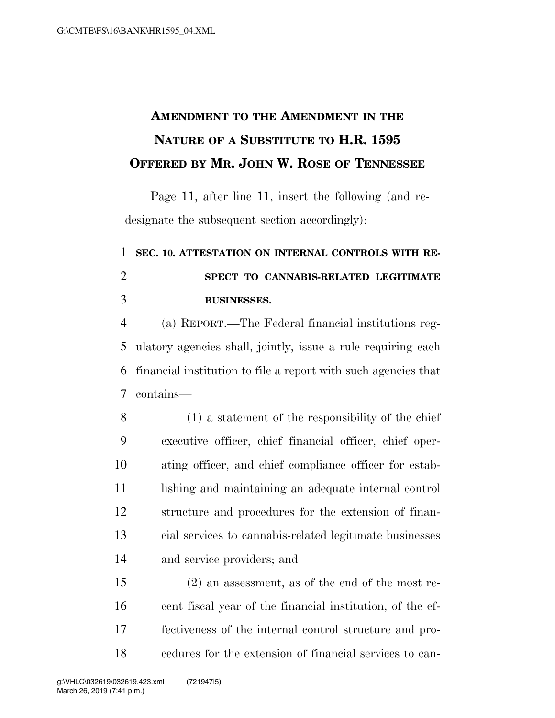## **AMENDMENT TO THE AMENDMENT IN THE NATURE OF A SUBSTITUTE TO H.R. 1595 OFFERED BY MR. JOHN W. ROSE OF TENNESSEE**

Page 11, after line 11, insert the following (and redesignate the subsequent section accordingly):

## **SEC. 10. ATTESTATION ON INTERNAL CONTROLS WITH RE- SPECT TO CANNABIS-RELATED LEGITIMATE BUSINESSES.**

 (a) REPORT.—The Federal financial institutions reg- ulatory agencies shall, jointly, issue a rule requiring each financial institution to file a report with such agencies that contains—

 (1) a statement of the responsibility of the chief executive officer, chief financial officer, chief oper- ating officer, and chief compliance officer for estab-11 lishing and maintaining an adequate internal control structure and procedures for the extension of finan- cial services to cannabis-related legitimate businesses and service providers; and

 (2) an assessment, as of the end of the most re- cent fiscal year of the financial institution, of the ef- fectiveness of the internal control structure and pro-cedures for the extension of financial services to can